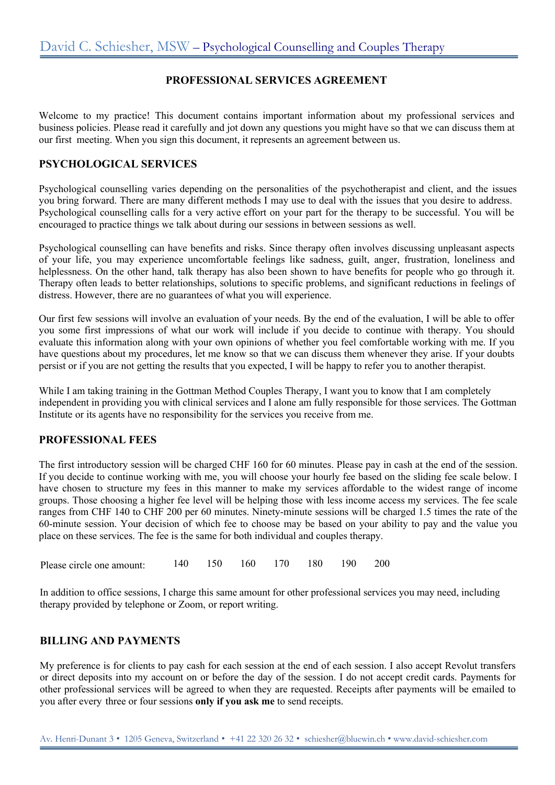## **PROFESSIONAL SERVICES AGREEMENT**

Welcome to my practice! This document contains important information about my professional services and business policies. Please read it carefully and jot down any questions you might have so that we can discuss them at our first meeting. When you sign this document, it represents an agreement between us.

## **PSYCHOLOGICAL SERVICES**

Psychological counselling varies depending on the personalities of the psychotherapist and client, and the issues you bring forward. There are many different methods I may use to deal with the issues that you desire to address. Psychological counselling calls for a very active effort on your part for the therapy to be successful. You will be encouraged to practice things we talk about during our sessions in between sessions as well.

Psychological counselling can have benefits and risks. Since therapy often involves discussing unpleasant aspects of your life, you may experience uncomfortable feelings like sadness, guilt, anger, frustration, loneliness and helplessness. On the other hand, talk therapy has also been shown to have benefits for people who go through it. Therapy often leads to better relationships, solutions to specific problems, and significant reductions in feelings of distress. However, there are no guarantees of what you will experience.

Our first few sessions will involve an evaluation of your needs. By the end of the evaluation, I will be able to offer you some first impressions of what our work will include if you decide to continue with therapy. You should evaluate this information along with your own opinions of whether you feel comfortable working with me. If you have questions about my procedures, let me know so that we can discuss them whenever they arise. If your doubts persist or if you are not getting the results that you expected, I will be happy to refer you to another therapist.

While I am taking training in the Gottman Method Couples Therapy, I want you to know that I am completely independent in providing you with clinical services and I alone am fully responsible for those services. The Gottman Institute or its agents have no responsibility for the services you receive from me.

### **PROFESSIONAL FEES**

The first introductory session will be charged CHF 160 for 60 minutes. Please pay in cash at the end of the session. If you decide to continue working with me, you will choose your hourly fee based on the sliding fee scale below. I have chosen to structure my fees in this manner to make my services affordable to the widest range of income groups. Those choosing a higher fee level will be helping those with less income access my services. The fee scale ranges from CHF 140 to CHF 200 per 60 minutes. Ninety-minute sessions will be charged 1.5 times the rate of the 60-minute session. Your decision of which fee to choose may be based on your ability to pay and the value you place on these services. The fee is the same for both individual and couples therapy.

| Please circle one amount: |  |  | 140 150 160 170 180 190 200 |  |  |  |  |
|---------------------------|--|--|-----------------------------|--|--|--|--|
|---------------------------|--|--|-----------------------------|--|--|--|--|

In addition to office sessions, I charge this same amount for other professional services you may need, including therapy provided by telephone or Zoom, or report writing.

### **BILLING AND PAYMENTS**

My preference is for clients to pay cash for each session at the end of each session. I also accept Revolut transfers or direct deposits into my account on or before the day of the session. I do not accept credit cards. Payments for other professional services will be agreed to when they are requested. Receipts after payments will be emailed to you after every three or four sessions **only if you ask me** to send receipts.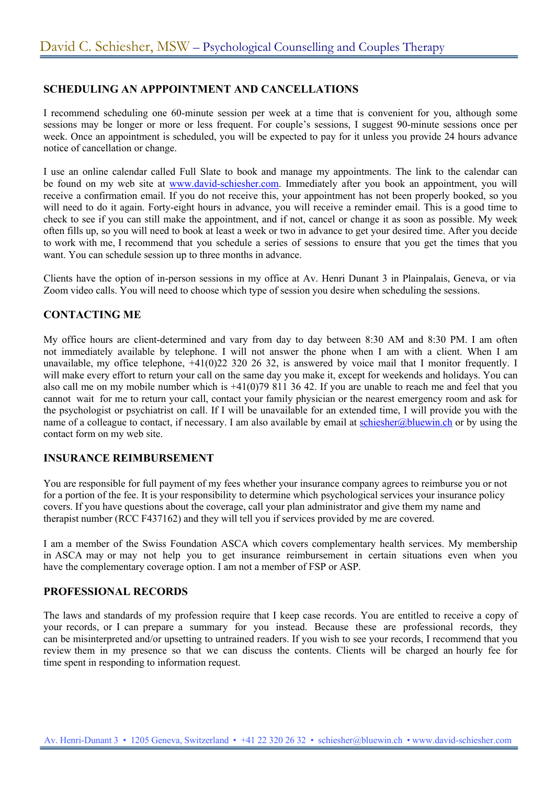# **SCHEDULING AN APPPOINTMENT AND CANCELLATIONS**

I recommend scheduling one 60-minute session per week at a time that is convenient for you, although some sessions may be longer or more or less frequent. For couple's sessions, I suggest 90-minute sessions once per week. Once an appointment is scheduled, you will be expected to pay for it unless you provide 24 hours advance notice of cancellation or change.

I use an online calendar called Full Slate to book and manage my appointments. The link to the calendar can be found on my web site at www.david-schiesher.com. Immediately after you book an appointment, you will receive a confirmation email. If you do not receive this, your appointment has not been properly booked, so you will need to do it again. Forty-eight hours in advance, you will receive a reminder email. This is a good time to check to see if you can still make the appointment, and if not, cancel or change it as soon as possible. My week often fills up, so you will need to book at least a week or two in advance to get your desired time. After you decide to work with me, I recommend that you schedule a series of sessions to ensure that you get the times that you want. You can schedule session up to three months in advance.

Clients have the option of in-person sessions in my office at Av. Henri Dunant 3 in Plainpalais, Geneva, or via Zoom video calls. You will need to choose which type of session you desire when scheduling the sessions.

## **CONTACTING ME**

My office hours are client-determined and vary from day to day between 8:30 AM and 8:30 PM. I am often not immediately available by telephone. I will not answer the phone when I am with a client. When I am unavailable, my office telephone, +41(0)22 320 26 32, is answered by voice mail that I monitor frequently. I will make every effort to return your call on the same day you make it, except for weekends and holidays. You can also call me on my mobile number which is +41(0)79 811 36 42. If you are unable to reach me and feel that you cannot wait for me to return your call, contact your family physician or the nearest emergency room and ask for the psychologist or psychiatrist on call. If I will be unavailable for an extended time, I will provide you with the name of a colleague to contact, if necessary. I am also available by email at schiesher@bluewin.ch or by using the contact form on my web site.

### **INSURANCE REIMBURSEMENT**

You are responsible for full payment of my fees whether your insurance company agrees to reimburse you or not for a portion of the fee. It is your responsibility to determine which psychological services your insurance policy covers. If you have questions about the coverage, call your plan administrator and give them my name and therapist number (RCC F437162) and they will tell you if services provided by me are covered.

I am a member of the Swiss Foundation ASCA which covers complementary health services. My membership in ASCA may or may not help you to get insurance reimbursement in certain situations even when you have the complementary coverage option. I am not a member of FSP or ASP.

### **PROFESSIONAL RECORDS**

The laws and standards of my profession require that I keep case records. You are entitled to receive a copy of your records, or I can prepare a summary for you instead. Because these are professional records, they can be misinterpreted and/or upsetting to untrained readers. If you wish to see your records, I recommend that you review them in my presence so that we can discuss the contents. Clients will be charged an hourly fee for time spent in responding to information request.